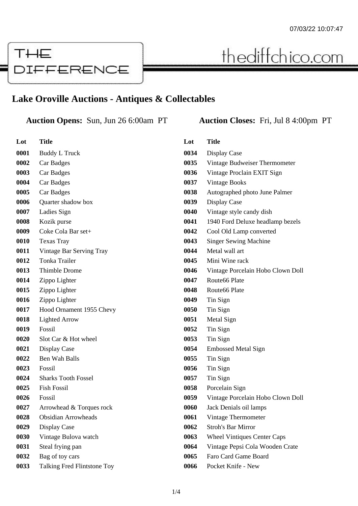

## thediffchico.com

## **Lake Oroville Auctions - Antiques & Collectables**

## **Auction Opens:** Sun, Jun 26 6:00am PT **Auction Closes:** Fri, Jul 8 4:00pm PT

| Lot  | <b>Title</b>                |
|------|-----------------------------|
| 0001 | <b>Buddy L Truck</b>        |
| 0002 | Car Badges                  |
| 0003 | Car Badges                  |
| 0004 | Car Badges                  |
| 0005 | Car Badges                  |
| 0006 | Quarter shadow box          |
| 0007 | Ladies Sign                 |
| 0008 | Kozik purse                 |
| 0009 | Coke Cola Bar set+          |
| 0010 | <b>Texas Tray</b>           |
| 0011 | Vintage Bar Serving Tray    |
| 0012 | <b>Tonka Trailer</b>        |
| 0013 | Thimble Drome               |
| 0014 | Zippo Lighter               |
| 0015 | Zippo Lighter               |
| 0016 | Zippo Lighter               |
| 0017 | Hood Ornament 1955 Chevy    |
| 0018 | <b>Lighted Arrow</b>        |
| 0019 | Fossil                      |
| 0020 | Slot Car & Hot wheel        |
| 0021 | Display Case                |
| 0022 | <b>Ben Wah Balls</b>        |
| 0023 | Fossil                      |
| 0024 | <b>Sharks Tooth Fossel</b>  |
| 0025 | <b>Fish Fossil</b>          |
| 0026 | Fossil                      |
| 0027 | Arrowhead & Torques rock    |
| 0028 | <b>Obsidian Arrowheads</b>  |
| 0029 | Display Case                |
| 0030 | Vintage Bulova watch        |
| 0031 | Steal frying pan            |
| 0032 | Bag of toy cars             |
| 0033 | Talking Fred Flintstone Toy |

| Lot  | <b>Title</b>                       |
|------|------------------------------------|
| 0034 | Display Case                       |
| 0035 | Vintage Budweiser Thermometer      |
| 0036 | Vintage Proclain EXIT Sign         |
| 0037 | <b>Vintage Books</b>               |
| 0038 | Autographed photo June Palmer      |
| 0039 | Display Case                       |
| 0040 | Vintage style candy dish           |
| 0041 | 1940 Ford Deluxe headlamp bezels   |
| 0042 | Cool Old Lamp converted            |
| 0043 | <b>Singer Sewing Machine</b>       |
| 0044 | Metal wall art                     |
| 0045 | Mini Wine rack                     |
| 0046 | Vintage Porcelain Hobo Clown Doll  |
| 0047 | Route <sub>66</sub> Plate          |
| 0048 | Route66 Plate                      |
| 0049 | Tin Sign                           |
| 0050 | Tin Sign                           |
| 0051 | Metal Sign                         |
| 0052 | Tin Sign                           |
| 0053 | Tin Sign                           |
| 0054 | <b>Embossed Metal Sign</b>         |
| 0055 | Tin Sign                           |
| 0056 | Tin Sign                           |
| 0057 | Tin Sign                           |
| 0058 | Porcelain Sign                     |
| 0059 | Vintage Porcelain Hobo Clown Doll  |
| 0060 | Jack Denials oil lamps             |
| 0061 | Vintage Thermometer                |
| 0062 | <b>Stroh's Bar Mirror</b>          |
| 0063 | <b>Wheel Vintiques Center Caps</b> |
| 0064 | Vintage Pepsi Cola Wooden Crate    |
| 0065 | Faro Card Game Board               |
| 0066 | Pocket Knife - New                 |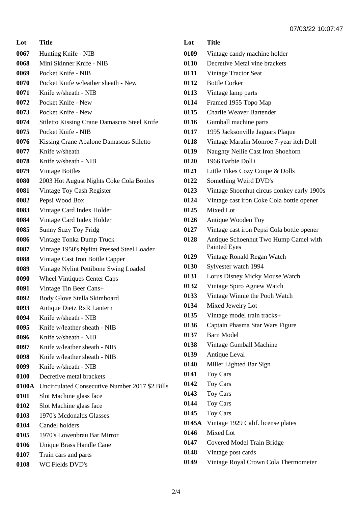| Lot   | <b>Title</b>                                   |
|-------|------------------------------------------------|
| 0067  | Hunting Knife - NIB                            |
| 0068  | Mini Skinner Knife - NIB                       |
| 0069  | Pocket Knife - NIB                             |
| 0070  | Pocket Knife w/leather sheath - New            |
| 0071  | Knife w/sheath - NIB                           |
| 0072  | Pocket Knife - New                             |
| 0073  | Pocket Knife - New                             |
| 0074  | Stiletto Kissing Crane Damascus Steel Knife    |
| 0075  | Pocket Knife - NIB                             |
| 0076  | Kissing Crane Abalone Damascus Stiletto        |
| 0077  | Knife w/sheath                                 |
| 0078  | Knife w/sheath - NIB                           |
| 0079  | <b>Vintage Bottles</b>                         |
| 0080  | 2003 Hot August Nights Coke Cola Bottles       |
| 0081  | Vintage Toy Cash Register                      |
| 0082  | Pepsi Wood Box                                 |
| 0083  | Vintage Card Index Holder                      |
| 0084  | Vintage Card Index Holder                      |
| 0085  | <b>Sunny Suzy Toy Fridg</b>                    |
| 0086  | Vintage Tonka Dump Truck                       |
| 0087  | Vintage 1950's Nylint Pressed Steel Loader     |
| 0088  | Vintage Cast Iron Bottle Capper                |
| 0089  | Vintage Nylint Pettibone Swing Loaded          |
| 0090  | <b>Wheel Vintiques Center Caps</b>             |
| 0091  | Vintage Tin Beer Cans+                         |
| 0092  | Body Glove Stella Skimboard                    |
| 0093  | Antique Dietz RxR Lantern                      |
| 0094  | Knife w/sheath - NIB                           |
| 0095  | Knife w/leather sheath - NIB                   |
| 0096  | Knife w/sheath - NIB                           |
| 0097  | Knife w/leather sheath - NIB                   |
| 0098  | Knife w/leather sheath - NIB                   |
| 0099  | Knife w/sheath - NIB                           |
| 0100  | Decretive metal brackets                       |
| 0100A | Uncirculated Consecutive Number 2017 \$2 Bills |
| 0101  | Slot Machine glass face                        |
| 0102  | Slot Machine glass face                        |
| 0103  | 1970's Mcdonalds Glasses                       |
| 0104  | Candel holders                                 |
| 0105  | 1970's Lowenbrau Bar Mirror                    |
| 0106  | Unique Brass Handle Cane                       |
| 0107  | Train cars and parts                           |
| 0108  | WC Fields DVD's                                |

| Lot   | <b>Title</b>                                                 |
|-------|--------------------------------------------------------------|
| 0109  | Vintage candy machine holder                                 |
| 0110  | Decretive Metal vine brackets                                |
| 0111  | <b>Vintage Tractor Seat</b>                                  |
| 0112  | <b>Bottle Corker</b>                                         |
| 0113  | Vintage lamp parts                                           |
| 0114  | Framed 1955 Topo Map                                         |
| 0115  | <b>Charlie Weaver Bartender</b>                              |
| 0116  | Gumball machine parts                                        |
| 0117  | 1995 Jacksonville Jaguars Plaque                             |
| 0118  | Vintage Maralin Monroe 7-year itch Doll                      |
| 0119  | Naughty Nellie Cast Iron Shoehorn                            |
| 0120  | 1966 Barbie Doll+                                            |
| 0121  | Little Tikes Cozy Coupe & Dolls                              |
| 0122  | Something Weird DVD's                                        |
| 0123  | Vintage Shoenhut circus donkey early 1900s                   |
| 0124  | Vintage cast iron Coke Cola bottle opener                    |
| 0125  | Mixed Lot                                                    |
| 0126  | Antique Wooden Toy                                           |
| 0127  | Vintage cast iron Pepsi Cola bottle opener                   |
| 0128  | Antique Schoenhut Two Hump Camel with<br><b>Painted Eyes</b> |
| 0129  | Vintage Ronald Regan Watch                                   |
| 0130  | Sylvester watch 1994                                         |
| 0131  | Lorus Disney Micky Mouse Watch                               |
| 0132  | Vintage Spiro Agnew Watch                                    |
| 0133  | Vintage Winnie the Pooh Watch                                |
| 0134  | Mixed Jewelry Lot                                            |
| 0135  | Vintage model train tracks+                                  |
| 0136  | Captain Phasma Star Wars Figure                              |
| 0137  | <b>Barn Model</b>                                            |
| 0138  | Vintage Gumball Machine                                      |
| 0139  | Antique Leval                                                |
| 0140  | Miller Lighted Bar Sign                                      |
| 0141  | Toy Cars                                                     |
| 0142  | Toy Cars                                                     |
| 0143  | Toy Cars                                                     |
| 0144  | Toy Cars                                                     |
| 0145  | <b>Toy Cars</b>                                              |
| 0145A | Vintage 1929 Calif. license plates                           |
| 0146  | Mixed Lot                                                    |
| 0147  | Covered Model Train Bridge                                   |
| 0148  | Vintage post cards                                           |
| 0149  | Vintage Royal Crown Cola Thermometer                         |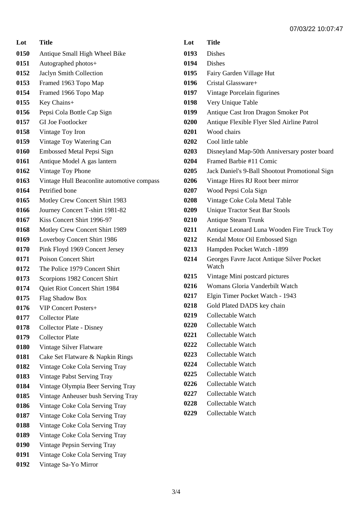**Lot Title**

- Antique Small High Wheel Bike
- Autographed photos+
- Jaclyn Smith Collection
- Framed 1963 Topo Map
- Framed 1966 Topo Map
- Key Chains+
- Pepsi Cola Bottle Cap Sign
- GI Joe Footlocker
- Vintage Toy Iron
- Vintage Toy Watering Can
- Embossed Metal Pepsi Sign
- Antique Model A gas lantern
- Vintage Toy Phone
- Vintage Hull Beaconlite automotive compass
- Petrified bone
- Motley Crew Concert Shirt 1983
- Journey Concert T-shirt 1981-82
- Kiss Concert Shirt 1996-97
- Motley Crew Concert Shirt 1989
- Loverboy Concert Shirt 1986
- Pink Floyd 1969 Concert Jersey
- Poison Concert Shirt
- The Police 1979 Concert Shirt
- Scorpions 1982 Concert Shirt
- Quiet Riot Concert Shirt 1984
- Flag Shadow Box
- VIP Concert Posters+
- Collector Plate
- Collector Plate Disney
- Collector Plate
- Vintage Silver Flatware
- Cake Set Flatware & Napkin Rings
- Vintage Coke Cola Serving Tray
- Vintage Pabst Serving Tray
- Vintage Olympia Beer Serving Tray
- Vintage Anheuser bush Serving Tray
- Vintage Coke Cola Serving Tray
- Vintage Coke Cola Serving Tray
- Vintage Coke Cola Serving Tray
- Vintage Coke Cola Serving Tray
- Vintage Pepsin Serving Tray
- Vintage Coke Cola Serving Tray
- Vintage Sa-Yo Mirror

**Lot Title** Dishes Dishes Fairy Garden Village Hut Cristal Glassware+ Vintage Porcelain figurines Very Unique Table Antique Cast Iron Dragon Smoker Pot Antique Flexible Flyer Sled Airline Patrol Wood chairs Cool little table Disneyland Map-50th Anniversary poster board Framed Barbie #11 Comic Jack Daniel's 9-Ball Shootout Promotional Sign Vintage Hires RJ Root beer mirror Wood Pepsi Cola Sign Vintage Coke Cola Metal Table Unique Tractor Seat Bar Stools Antique Steam Trunk Antique Leonard Luna Wooden Fire Truck Toy Kendal Motor Oil Embossed Sign Hampden Pocket Watch -1899 Georges Favre Jacot Antique Silver Pocket Watch Vintage Mini postcard pictures Womans Gloria Vanderbilt Watch Elgin Timer Pocket Watch - 1943 Gold Plated DADS key chain Collectable Watch Collectable Watch Collectable Watch Collectable Watch Collectable Watch Collectable Watch Collectable Watch Collectable Watch Collectable Watch Collectable Watch Collectable Watch